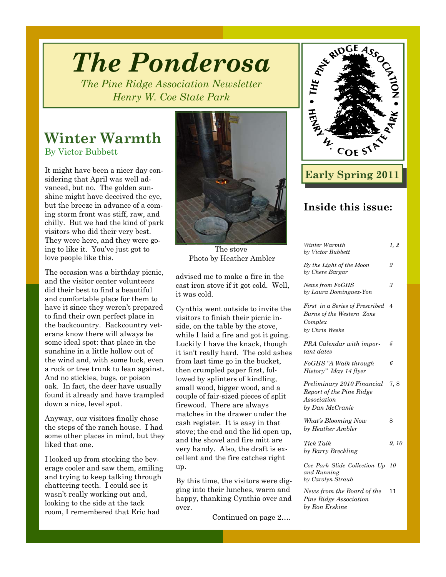# *The Ponderosa*

*The Pine Ridge Association Newsletter Henry W. Coe State Park* 

### **Winter Warmth**

By Victor Bubbett

It might have been a nicer day considering that April was well advanced, but no. The golden sunshine might have deceived the eye, but the breeze in advance of a coming storm front was stiff, raw, and chilly. But we had the kind of park visitors who did their very best. They were here, and they were going to like it. You've just got to love people like this.

The occasion was a birthday picnic, and the visitor center volunteers did their best to find a beautiful and comfortable place for them to have it since they weren't prepared to find their own perfect place in the backcountry. Backcountry veterans know there will always be some ideal spot: that place in the sunshine in a little hollow out of the wind and, with some luck, even a rock or tree trunk to lean against. And no stickies, bugs, or poison oak. In fact, the deer have usually found it already and have trampled down a nice, level spot.

Anyway, our visitors finally chose the steps of the ranch house. I had some other places in mind, but they liked that one.

I looked up from stocking the beverage cooler and saw them, smiling and trying to keep talking through chattering teeth. I could see it wasn't really working out and, looking to the side at the tack room, I remembered that Eric had



The stove Photo by Heather Ambler

advised me to make a fire in the cast iron stove if it got cold. Well, it was cold.

Cynthia went outside to invite the visitors to finish their picnic inside, on the table by the stove, while I laid a fire and got it going. Luckily I have the knack, though it isn't really hard. The cold ashes from last time go in the bucket, then crumpled paper first, followed by splinters of kindling, small wood, bigger wood, and a couple of fair-sized pieces of split firewood. There are always matches in the drawer under the cash register. It is easy in that stove; the end and the lid open up, and the shovel and fire mitt are very handy. Also, the draft is excellent and the fire catches right up.

By this time, the visitors were digging into their lunches, warm and happy, thanking Cynthia over and over.

Continued on page 2….



### **Early Spring 2011**

### **Inside this issue:**

| Winter Warmth<br>by Victor Bubbett                                                        | 1, 2           |
|-------------------------------------------------------------------------------------------|----------------|
| By the Light of the Moon<br>by Chere Bargar                                               | $\overline{2}$ |
| News from FoGHS<br>by Laura Dominguez-Yon                                                 | 3              |
| First in a Series of Prescribed<br>Burns of the Western Zone<br>Complex<br>by Chris Weske | 4              |
| PRA Calendar with impor-<br>tant dates                                                    | 5              |
| FoGHS "A Walk through<br>History" May 14 flyer                                            | 6              |
| Preliminary 2010 Financial<br>Report of the Pine Ridge<br>Association<br>by Dan McCranie  | 7, 8           |
| What's Blooming Now<br>by Heather Ambler                                                  | 8              |
| Tick Talk<br>by Barry Breckling                                                           | 9, 10          |
| Coe Park Slide Collection Up 10<br>and Running<br>by Carolyn Straub                       |                |
| News from the Board of the<br>Pine Ridge Association                                      | 11             |

*by Ron Erskine*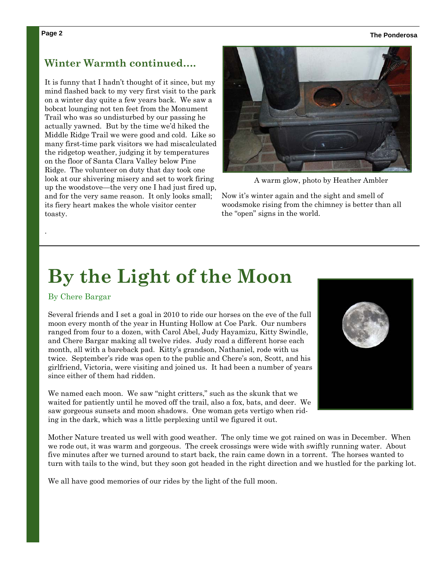#### **Page 2 The Ponderosa**

### **Winter Warmth continued….**

It is funny that I hadn't thought of it since, but my mind flashed back to my very first visit to the park on a winter day quite a few years back. We saw a bobcat lounging not ten feet from the Monument Trail who was so undisturbed by our passing he actually yawned. But by the time we'd hiked the Middle Ridge Trail we were good and cold. Like so many first-time park visitors we had miscalculated the ridgetop weather, judging it by temperatures on the floor of Santa Clara Valley below Pine Ridge. The volunteer on duty that day took one look at our shivering misery and set to work firing up the woodstove—the very one I had just fired up, and for the very same reason. It only looks small; its fiery heart makes the whole visitor center toasty.



A warm glow, photo by Heather Ambler

Now it's winter again and the sight and smell of woodsmoke rising from the chimney is better than all the "open" signs in the world.

## **By the Light of the Moon**

### By Chere Bargar

.

Several friends and I set a goal in 2010 to ride our horses on the eve of the full moon every month of the year in Hunting Hollow at Coe Park. Our numbers ranged from four to a dozen, with Carol Abel, Judy Hayamizu, Kitty Swindle, and Chere Bargar making all twelve rides. Judy road a different horse each month, all with a bareback pad. Kitty's grandson, Nathaniel, rode with us twice. September's ride was open to the public and Chere's son, Scott, and his girlfriend, Victoria, were visiting and joined us. It had been a number of years since either of them had ridden.

We named each moon. We saw "night critters," such as the skunk that we waited for patiently until he moved off the trail, also a fox, bats, and deer. We saw gorgeous sunsets and moon shadows. One woman gets vertigo when riding in the dark, which was a little perplexing until we figured it out.



Mother Nature treated us well with good weather. The only time we got rained on was in December. When we rode out, it was warm and gorgeous. The creek crossings were wide with swiftly running water. About five minutes after we turned around to start back, the rain came down in a torrent. The horses wanted to turn with tails to the wind, but they soon got headed in the right direction and we hustled for the parking lot.

We all have good memories of our rides by the light of the full moon.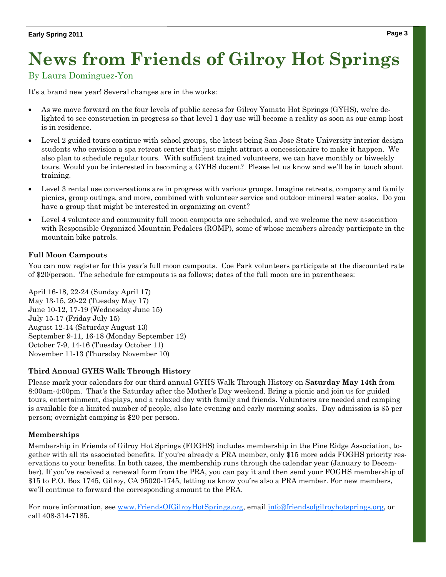## **News from Friends of Gilroy Hot Springs**

### By Laura Dominguez-Yon

It's a brand new year! Several changes are in the works:

- As we move forward on the four levels of public access for Gilroy Yamato Hot Springs (GYHS), we're delighted to see construction in progress so that level 1 day use will become a reality as soon as our camp host is in residence.
- Level 2 guided tours continue with school groups, the latest being San Jose State University interior design students who envision a spa retreat center that just might attract a concessionaire to make it happen. We also plan to schedule regular tours. With sufficient trained volunteers, we can have monthly or biweekly tours. Would you be interested in becoming a GYHS docent? Please let us know and we'll be in touch about training.
- Level 3 rental use conversations are in progress with various groups. Imagine retreats, company and family picnics, group outings, and more, combined with volunteer service and outdoor mineral water soaks. Do you have a group that might be interested in organizing an event?
- Level 4 volunteer and community full moon campouts are scheduled, and we welcome the new association with Responsible Organized Mountain Pedalers (ROMP), some of whose members already participate in the mountain bike patrols.

### **Full Moon Campouts**

You can now register for this year's full moon campouts. Coe Park volunteers participate at the discounted rate of \$20/person. The schedule for campouts is as follows; dates of the full moon are in parentheses:

April 16-18, 22-24 (Sunday April 17) May 13-15, 20-22 (Tuesday May 17) June 10-12, 17-19 (Wednesday June 15) July 15-17 (Friday July 15) August 12-14 (Saturday August 13) September 9-11, 16-18 (Monday September 12) October 7-9, 14-16 (Tuesday October 11) November 11-13 (Thursday November 10)

### **Third Annual GYHS Walk Through History**

Please mark your calendars for our third annual GYHS Walk Through History on **Saturday May 14th** from 8:00am-4:00pm. That's the Saturday after the Mother's Day weekend. Bring a picnic and join us for guided tours, entertainment, displays, and a relaxed day with family and friends. Volunteers are needed and camping is available for a limited number of people, also late evening and early morning soaks. Day admission is \$5 per person; overnight camping is \$20 per person.

### **Memberships**

Membership in Friends of Gilroy Hot Springs (FOGHS) includes membership in the Pine Ridge Association, together with all its associated benefits. If you're already a PRA member, only \$15 more adds FOGHS priority reservations to your benefits. In both cases, the membership runs through the calendar year (January to December). If you've received a renewal form from the PRA, you can pay it and then send your FOGHS membership of \$15 to P.O. Box 1745, Gilroy, CA 95020-1745, letting us know you're also a PRA member. For new members, we'll continue to forward the corresponding amount to the PRA.

For more information, see www.FriendsOfGilroyHotSprings.org, email info@friendsofgilroyhotsprings.org, or call 408-314-7185.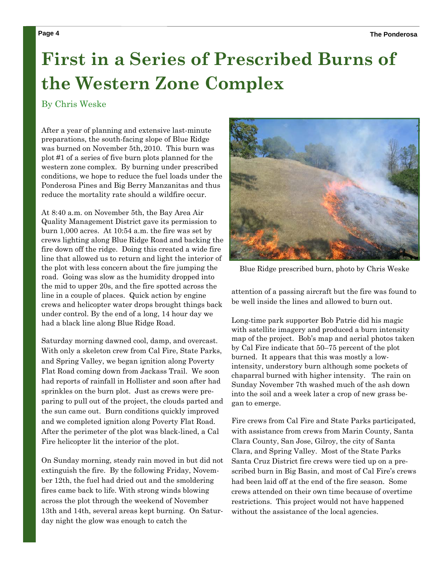## **First in a Series of Prescribed Burns of the Western Zone Complex**

#### By Chris Weske

After a year of planning and extensive last-minute preparations, the south-facing slope of Blue Ridge was burned on November 5th, 2010. This burn was plot #1 of a series of five burn plots planned for the western zone complex. By burning under prescribed conditions, we hope to reduce the fuel loads under the Ponderosa Pines and Big Berry Manzanitas and thus reduce the mortality rate should a wildfire occur.

At 8:40 a.m. on November 5th, the Bay Area Air Quality Management District gave its permission to burn 1,000 acres. At 10:54 a.m. the fire was set by crews lighting along Blue Ridge Road and backing the fire down off the ridge. Doing this created a wide fire line that allowed us to return and light the interior of the plot with less concern about the fire jumping the road. Going was slow as the humidity dropped into the mid to upper 20s, and the fire spotted across the line in a couple of places. Quick action by engine crews and helicopter water drops brought things back under control. By the end of a long, 14 hour day we had a black line along Blue Ridge Road.

Saturday morning dawned cool, damp, and overcast. With only a skeleton crew from Cal Fire, State Parks, and Spring Valley, we began ignition along Poverty Flat Road coming down from Jackass Trail. We soon had reports of rainfall in Hollister and soon after had sprinkles on the burn plot. Just as crews were preparing to pull out of the project, the clouds parted and the sun came out. Burn conditions quickly improved and we completed ignition along Poverty Flat Road. After the perimeter of the plot was black-lined, a Cal Fire helicopter lit the interior of the plot.

On Sunday morning, steady rain moved in but did not extinguish the fire. By the following Friday, November 12th, the fuel had dried out and the smoldering fires came back to life. With strong winds blowing across the plot through the weekend of November 13th and 14th, several areas kept burning. On Saturday night the glow was enough to catch the



Blue Ridge prescribed burn, photo by Chris Weske

attention of a passing aircraft but the fire was found to be well inside the lines and allowed to burn out.

Long-time park supporter Bob Patrie did his magic with satellite imagery and produced a burn intensity map of the project. Bob's map and aerial photos taken by Cal Fire indicate that 50–75 percent of the plot burned. It appears that this was mostly a lowintensity, understory burn although some pockets of chaparral burned with higher intensity. The rain on Sunday November 7th washed much of the ash down into the soil and a week later a crop of new grass began to emerge.

Fire crews from Cal Fire and State Parks participated, with assistance from crews from Marin County, Santa Clara County, San Jose, Gilroy, the city of Santa Clara, and Spring Valley. Most of the State Parks Santa Cruz District fire crews were tied up on a prescribed burn in Big Basin, and most of Cal Fire's crews had been laid off at the end of the fire season. Some crews attended on their own time because of overtime restrictions. This project would not have happened without the assistance of the local agencies.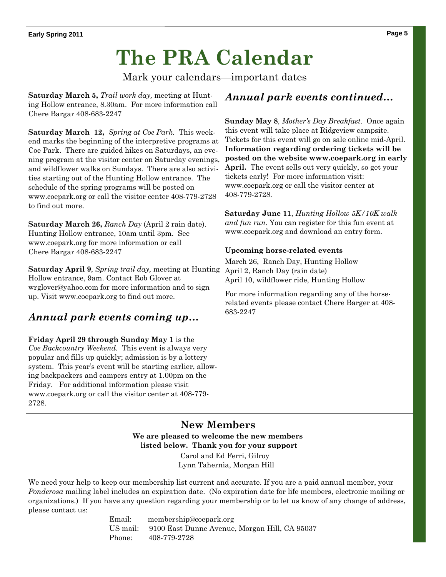## **The PRA Calendar**

Mark your calendars—important dates

**Saturday March 5,** *Trail work day,* meeting at Hunting Hollow entrance, 8.30am. For more information call Chere Bargar 408-683-2247

**Saturday March 12,** *Spring at Coe Park.* This weekend marks the beginning of the interpretive programs at Coe Park. There are guided hikes on Saturdays, an evening program at the visitor center on Saturday evenings, and wildflower walks on Sundays. There are also activities starting out of the Hunting Hollow entrance. The schedule of the spring programs will be posted on www.coepark.org or call the visitor center 408-779-2728 to find out more.

**Saturday March 26,** *Ranch Day* (April 2 rain date). Hunting Hollow entrance, 10am until 3pm. See www.coepark.org for more information or call Chere Bargar 408-683-2247

**Saturday April 9**, *Spring trail day,* meeting at Hunting Hollow entrance, 9am. Contact Rob Glover at wrglover@yahoo.com for more information and to sign up. Visit www.coepark.org to find out more.

### *Annual park events coming up…*

**Friday April 29 through Sunday May 1** is the *Coe Backcountry Weekend.* This event is always very popular and fills up quickly; admission is by a lottery system. This year's event will be starting earlier, allowing backpackers and campers entry at 1.00pm on the Friday. For additional information please visit www.coepark.org or call the visitor center at 408-779- 2728.

### *Annual park events continued…*

**Sunday May 8***, Mother's Day Breakfast.* Once again this event will take place at Ridgeview campsite. Tickets for this event will go on sale online mid-April. **Information regarding ordering tickets will be posted on the website www.coepark.org in early April.** The event sells out very quickly, so get your tickets early! For more information visit: www.coepark.org or call the visitor center at 408-779-2728.

**Saturday June 11**, *Hunting Hollow 5K/10K walk and fun run.* You can register for this fun event at www.coepark.org and download an entry form.

### **Upcoming horse-related events**

March 26, Ranch Day, Hunting Hollow April 2, Ranch Day (rain date) April 10, wildflower ride, Hunting Hollow

For more information regarding any of the horserelated events please contact Chere Barger at 408- 683-2247

### **New Members We are pleased to welcome the new members listed below. Thank you for your support**  Carol and Ed Ferri, Gilroy Lynn Tahernia, Morgan Hill

We need your help to keep our membership list current and accurate. If you are a paid annual member, your *Ponderosa* mailing label includes an expiration date. (No expiration date for life members, electronic mailing or organizations.) If you have any question regarding your membership or to let us know of any change of address, please contact us:

> Email: membership@coepark.org US mail: 9100 East Dunne Avenue, Morgan Hill, CA 95037 Phone: 408-779-2728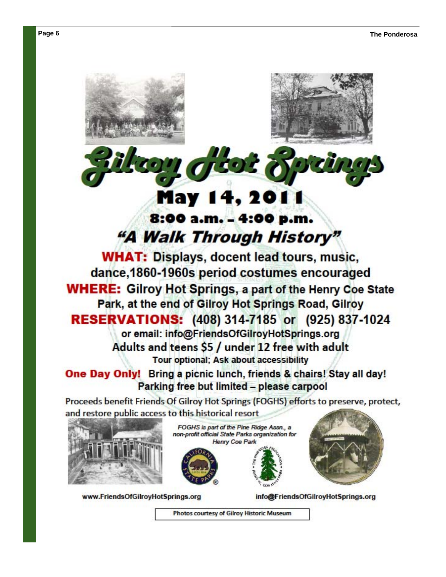### May 14, 201 8:00 a.m. - 4:00 p.m. "A Walk Through History"

**WHAT: Displays, docent lead tours, music,** dance, 1860-1960s period costumes encouraged **WHERE: Gilroy Hot Springs, a part of the Henry Coe State** Park, at the end of Gilroy Hot Springs Road, Gilroy **RESERVATIONS: (408) 314-7185 or (925) 837-1024** or email: info@FriendsOfGilroyHotSprings.org Adults and teens \$5 / under 12 free with adult Tour optional: Ask about accessibility

One Day Only! Bring a picnic lunch, friends & chairs! Stay all day! Parking free but limited - please carpool

Proceeds benefit Friends Of Gilroy Hot Springs (FOGHS) efforts to preserve, protect, and restore public access to this historical resort



www.FriendsOfGilroyHotSprings.org

FOGHS is part of the Pine Ridge Assn., a non-profit official State Parks organization for **Henry Coe Park** 





info@FriendsOfGilroyHotSprings.org

Photos courtesy of Gilroy Historic Museum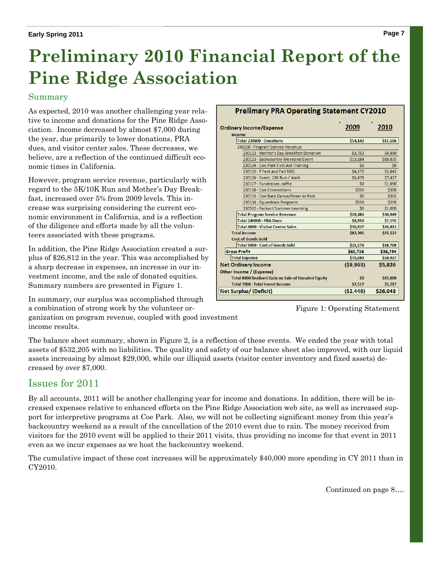## **Preliminary 2010 Financial Report of the Pine Ridge Association**

### Summary

As expected, 2010 was another challenging year relative to income and donations for the Pine Ridge Association. Income decreased by almost \$7,000 during the year, due primarily to lower donations, PRA dues, and visitor center sales. These decreases, we believe, are a reflection of the continued difficult economic times in California.

However, program service revenue, particularly with regard to the 5K/10K Run and Mother's Day Breakfast, increased over 5% from 2009 levels. This increase was surprising considering the current economic environment in California, and is a reflection of the diligence and efforts made by all the volunteers associated with these programs.

In addition, the Pine Ridge Association created a surplus of \$26,812 in the year. This was accomplished by a sharp decrease in expenses, an increase in our investment income, and the sale of donated equities. Summary numbers are presented in Figure 1.

In summary, our surplus was accomplished through a combination of strong work by the volunteer or-

ganization on program revenue, coupled with good investment income results.

#### **Prelimary PRA Operating Statement CY2010**

| <b>Ordinary Income/Expense</b>                            | ۳<br>2009 | ۳<br>2010 |
|-----------------------------------------------------------|-----------|-----------|
| Income                                                    |           |           |
| Total 230000 · Donations                                  | \$14,142  | \$11,506  |
| 230100 · Program Service Revenue                          |           |           |
| 230122 · Mother's Day Breakfast Donation                  | \$3,752   | \$4,890   |
| 230123 · Backcountry Weekend Event                        | \$13,184  | \$10,875  |
| 230124 · Coe Park First Aid Training                      | \$0       | \$0       |
| 230125 · T Fest and Fall BBQ                              | \$4,172   | \$3,842   |
| 230126 · Event, 10K Run / Walk                            | \$6,478   | \$7,437   |
| 230127 · Fundraiser, raffle                               | \$0       | \$1,090   |
| 230128 · Coe Connections                                  | \$350     | \$300     |
| 230133 · Coe Barn Dance/Poker in Park                     | \$0       | \$365     |
| 230134 · Equestrian Programs                              | \$550     | \$250     |
| 230512 · Packard Summer Learning                          | \$0       | \$1,000   |
| <b>Total Program Service Revenue</b>                      | \$28,486  | \$30,049  |
| Total 240000 · PRA Dues                                   | \$8,850   | \$7,155   |
| Total 4000 · Visitor Center Sales                         | \$30,827  | \$26,812  |
| <b>Total Income</b>                                       | \$82.305  | \$75,522  |
| <b>Cost of Goods Sold</b>                                 |           |           |
| Total 5000 · Cost of Goods Sold                           | \$21,579  | \$18,768  |
| <b>Gross Profit</b>                                       | \$60,726  | \$56,754  |
| <b>Total Expense</b>                                      | \$70,689  | \$50,927  |
| <b>Net Ordinary Income</b>                                | (59, 963) | \$5.826   |
| Other Income / (Expense)                                  |           |           |
| <b>Total 8000 Realized Gain on Sale of Donated Equity</b> | \$0       | \$15,000  |
| Total 7000 · Total Invest Income                          | \$7,517   | \$5,217   |
| Net Surplus/ (Deficit)                                    | (52, 446) | \$26,043  |

Figure 1: Operating Statement

The balance sheet summary, shown in Figure 2, is a reflection of these events. We ended the year with total assets of \$532,205 with no liabilities. The quality and safety of our balance sheet also improved, with our liquid assets increasing by almost \$29,000, while our illiquid assets (visitor center inventory and fixed assets) decreased by over \$7,000.

### Issues for 2011

By all accounts, 2011 will be another challenging year for income and donations. In addition, there will be increased expenses relative to enhanced efforts on the Pine Ridge Association web site, as well as increased support for interpretive programs at Coe Park. Also, we will not be collecting significant money from this year's backcountry weekend as a result of the cancellation of the 2010 event due to rain. The money received from visitors for the 2010 event will be applied to their 2011 visits, thus providing no income for that event in 2011 even as we incur expenses as we host the backcountry weekend.

The cumulative impact of these cost increases will be approximately \$40,000 more spending in CY 2011 than in CY2010.

Continued on page 8….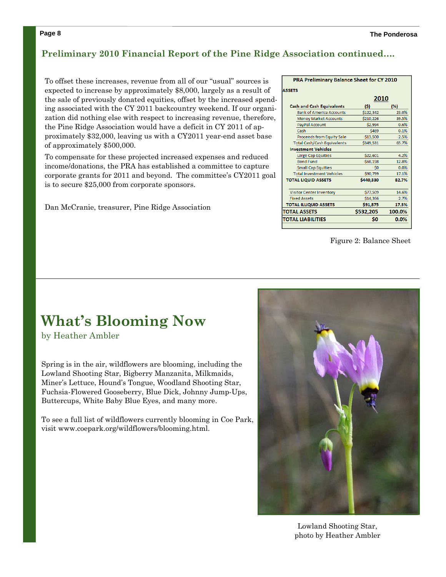### **Preliminary 2010 Financial Report of the Pine Ridge Association continued….**

To offset these increases, revenue from all of our "usual" sources is expected to increase by approximately \$8,000, largely as a result of the sale of previously donated equities, offset by the increased spending associated with the CY 2011 backcountry weekend. If our organization did nothing else with respect to increasing revenue, therefore, the Pine Ridge Association would have a deficit in CY 2011 of approximately \$32,000, leaving us with a CY2011 year-end asset base of approximately \$500,000.

To compensate for these projected increased expenses and reduced income/donations, the PRA has established a committee to capture corporate grants for 2011 and beyond. The committee's CY2011 goal is to secure \$25,000 from corporate sponsors.

Dan McCranie, treasurer, Pine Ridge Association

| PRA Preliminary Balance Sheet for CY 2010 |           |        |  |  |  |
|-------------------------------------------|-----------|--------|--|--|--|
| <b>ASSETS</b>                             |           |        |  |  |  |
|                                           | 2010      |        |  |  |  |
| <b>Cash and Cash Equivalents</b>          | (\$)      | (%)    |  |  |  |
| <b>Bank of America Accounts</b>           | \$122,342 | 23.0%  |  |  |  |
| <b>Money Market Accounts</b>              | \$210.226 | 39.5%  |  |  |  |
| PayPal Account                            | \$2.994   | 0.6%   |  |  |  |
| Cash                                      | \$469     | 0.1%   |  |  |  |
| Proceeds from Equity Sale                 | \$13,500  | 2.5%   |  |  |  |
| <b>Total Cash/Cash Equivalents</b>        | \$349.531 | 65.7%  |  |  |  |
| <b>Investment Vehicles</b>                |           |        |  |  |  |
| Large Cap Equities                        | \$22,601  | 4.2%   |  |  |  |
| <b>Bond Fund</b>                          | \$68,198  | 12.8%  |  |  |  |
| <b>Small Cap Equities</b>                 | Ś0        | 0.0%   |  |  |  |
| <b>Total Investment Vehicles</b>          | \$90,799  | 17.1%  |  |  |  |
| <b>TOTAL LIQUID ASSETS</b>                | \$440,330 | 82.7%  |  |  |  |
| <b>Visitor Center Inventory</b>           | \$77,509  | 14.6%  |  |  |  |
| <b>Fixed Assets</b>                       | \$14,366  | 2.7%   |  |  |  |
| <b>TOTAL ILLIQUID ASSETS</b>              | \$91,875  | 17.3%  |  |  |  |
| <b>TOTAL ASSETS</b>                       | \$532,205 | 100.0% |  |  |  |
| <b>TOTAL LIABILITIES</b>                  | S0        | 0.0%   |  |  |  |
|                                           |           |        |  |  |  |

Figure 2: Balance Sheet

### **What's Blooming Now**

by Heather Ambler

Spring is in the air, wildflowers are blooming, including the Lowland Shooting Star, Bigberry Manzanita, Milkmaids, Miner's Lettuce, Hound's Tongue, Woodland Shooting Star, Fuchsia-Flowered Gooseberry, Blue Dick, Johnny Jump-Ups, Buttercups, White Baby Blue Eyes, and many more.

To see a full list of wildflowers currently blooming in Coe Park, visit www.coepark.org/wildflowers/blooming.html.



Lowland Shooting Star, photo by Heather Ambler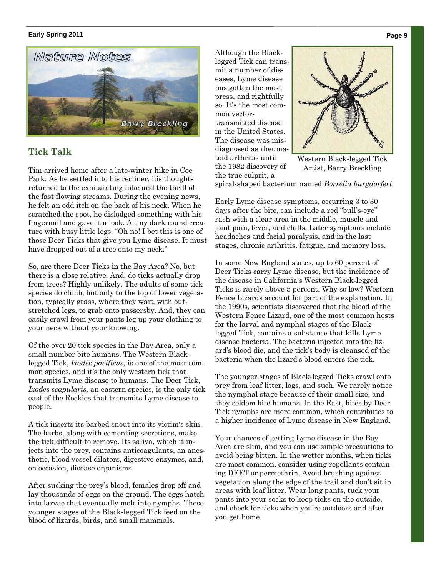#### **Early Spring 2011**



### **Tick Talk**

Tim arrived home after a late-winter hike in Coe Park. As he settled into his recliner, his thoughts returned to the exhilarating hike and the thrill of the fast flowing streams. During the evening news, he felt an odd itch on the back of his neck. When he scratched the spot, he dislodged something with his fingernail and gave it a look. A tiny dark round creature with busy little legs. "Oh no! I bet this is one of those Deer Ticks that give you Lyme disease. It must have dropped out of a tree onto my neck."

So, are there Deer Ticks in the Bay Area? No, but there is a close relative. And, do ticks actually drop from trees? Highly unlikely. The adults of some tick species do climb, but only to the top of lower vegetation, typically grass, where they wait, with outstretched legs, to grab onto passersby. And, they can easily crawl from your pants leg up your clothing to your neck without your knowing.

Of the over 20 tick species in the Bay Area, only a small number bite humans. The Western Blacklegged Tick, *Ixodes pacificus,* is one of the most common species, and it's the only western tick that transmits Lyme disease to humans. The Deer Tick, *Ixodes scapularis,* an eastern species, is the only tick east of the Rockies that transmits Lyme disease to people.

A tick inserts its barbed snout into its victim's skin. The barbs, along with cementing secretions, make the tick difficult to remove. Its saliva, which it injects into the prey, contains anticoagulants, an anesthetic, blood vessel dilators, digestive enzymes, and, on occasion, disease organisms.

After sucking the prey's blood, females drop off and lay thousands of eggs on the ground. The eggs hatch into larvae that eventually molt into nymphs. These younger stages of the Black-legged Tick feed on the blood of lizards, birds, and small mammals.

Although the Blacklegged Tick can transmit a number of diseases, Lyme disease has gotten the most press, and rightfully so. It's the most common vectortransmitted disease in the United States. The disease was misdiagnosed as rheumatoid arthritis until the 1982 discovery of the true culprit, a



Western Black-legged Tick Artist, Barry Breckling

spiral-shaped bacterium named *Borrelia burgdorferi*.

Early Lyme disease symptoms, occurring 3 to 30 days after the bite, can include a red "bull's-eye" rash with a clear area in the middle, muscle and joint pain, fever, and chills. Later symptoms include headaches and facial paralysis, and in the last stages, chronic arthritis, fatigue, and memory loss.

In some New England states, up to 60 percent of Deer Ticks carry Lyme disease, but the incidence of the disease in California's Western Black-legged Ticks is rarely above 5 percent. Why so low? Western Fence Lizards account for part of the explanation. In the 1990s, scientists discovered that the blood of the Western Fence Lizard, one of the most common hosts for the larval and nymphal stages of the Blacklegged Tick, contains a substance that kills Lyme disease bacteria. The bacteria injected into the lizard's blood die, and the tick's body is cleansed of the bacteria when the lizard's blood enters the tick.

The younger stages of Black-legged Ticks crawl onto prey from leaf litter, logs, and such. We rarely notice the nymphal stage because of their small size, and they seldom bite humans. In the East, bites by Deer Tick nymphs are more common, which contributes to a higher incidence of Lyme disease in New England.

Your chances of getting Lyme disease in the Bay Area are slim, and you can use simple precautions to avoid being bitten. In the wetter months, when ticks are most common, consider using repellants containing DEET or permethrin. Avoid brushing against vegetation along the edge of the trail and don't sit in areas with leaf litter. Wear long pants, tuck your pants into your socks to keep ticks on the outside, and check for ticks when you're outdoors and after you get home.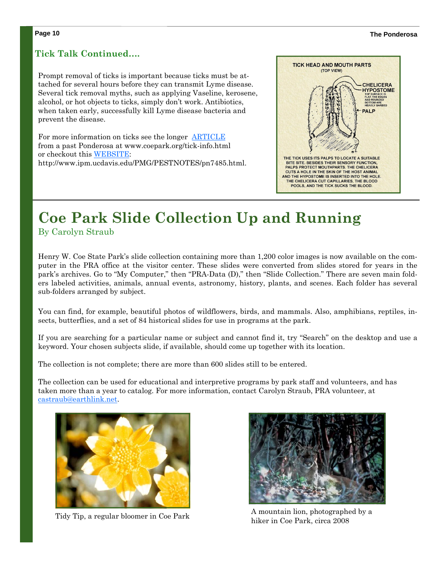#### **Page 10 The Ponderosa**

### **Tick Talk Continued….**

Prompt removal of ticks is important because ticks must be attached for several hours before they can transmit Lyme disease. Several tick removal myths, such as applying Vaseline, kerosene, alcohol, or hot objects to ticks, simply don't work. Antibiotics, when taken early, successfully kill Lyme disease bacteria and prevent the disease.

For more information on ticks see the longer ARTICLE from a past Ponderosa at www.coepark.org/tick-info.html or checkout this WEBSITE: http://www.ipm.ucdavis.edu/PMG/PESTNOTES/pn7485.html.



### **Coe Park Slide Collection Up and Running**

By Carolyn Straub

Henry W. Coe State Park's slide collection containing more than 1,200 color images is now available on the computer in the PRA office at the visitor center. These slides were converted from slides stored for years in the park's archives. Go to "My Computer," then "PRA-Data (D)," then "Slide Collection." There are seven main folders labeled activities, animals, annual events, astronomy, history, plants, and scenes. Each folder has several sub-folders arranged by subject.

You can find, for example, beautiful photos of wildflowers, birds, and mammals. Also, amphibians, reptiles, insects, butterflies, and a set of 84 historical slides for use in programs at the park.

If you are searching for a particular name or subject and cannot find it, try "Search" on the desktop and use a keyword. Your chosen subjects slide, if available, should come up together with its location.

The collection is not complete; there are more than 600 slides still to be entered.

The collection can be used for educational and interpretive programs by park staff and volunteers, and has taken more than a year to catalog. For more information, contact Carolyn Straub, PRA volunteer, at castraub@earthlink.net.





Tidy Tip, a regular bloomer in Coe Park  $\overline{A}$  M mountain lion, photographed by a hiker in Coe Park, circa 2008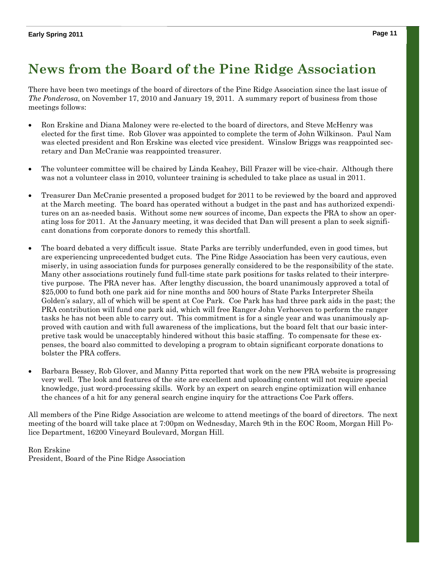### **News from the Board of the Pine Ridge Association**

There have been two meetings of the board of directors of the Pine Ridge Association since the last issue of *The Ponderosa*, on November 17, 2010 and January 19, 2011. A summary report of business from those meetings follows:

- Ron Erskine and Diana Maloney were re-elected to the board of directors, and Steve McHenry was elected for the first time. Rob Glover was appointed to complete the term of John Wilkinson. Paul Nam was elected president and Ron Erskine was elected vice president. Winslow Briggs was reappointed secretary and Dan McCranie was reappointed treasurer.
- The volunteer committee will be chaired by Linda Keahey, Bill Frazer will be vice-chair. Although there was not a volunteer class in 2010, volunteer training is scheduled to take place as usual in 2011.
- Treasurer Dan McCranie presented a proposed budget for 2011 to be reviewed by the board and approved at the March meeting. The board has operated without a budget in the past and has authorized expenditures on an as-needed basis. Without some new sources of income, Dan expects the PRA to show an operating loss for 2011. At the January meeting, it was decided that Dan will present a plan to seek significant donations from corporate donors to remedy this shortfall.
- The board debated a very difficult issue. State Parks are terribly underfunded, even in good times, but are experiencing unprecedented budget cuts. The Pine Ridge Association has been very cautious, even miserly, in using association funds for purposes generally considered to be the responsibility of the state. Many other associations routinely fund full-time state park positions for tasks related to their interpretive purpose. The PRA never has. After lengthy discussion, the board unanimously approved a total of \$25,000 to fund both one park aid for nine months and 500 hours of State Parks Interpreter Sheila Golden's salary, all of which will be spent at Coe Park. Coe Park has had three park aids in the past; the PRA contribution will fund one park aid, which will free Ranger John Verhoeven to perform the ranger tasks he has not been able to carry out. This commitment is for a single year and was unanimously approved with caution and with full awareness of the implications, but the board felt that our basic interpretive task would be unacceptably hindered without this basic staffing. To compensate for these expenses, the board also committed to developing a program to obtain significant corporate donations to bolster the PRA coffers.
- Barbara Bessey, Rob Glover, and Manny Pitta reported that work on the new PRA website is progressing very well. The look and features of the site are excellent and uploading content will not require special knowledge, just word-processing skills. Work by an expert on search engine optimization will enhance the chances of a hit for any general search engine inquiry for the attractions Coe Park offers.

All members of the Pine Ridge Association are welcome to attend meetings of the board of directors. The next meeting of the board will take place at 7:00pm on Wednesday, March 9th in the EOC Room, Morgan Hill Police Department, 16200 Vineyard Boulevard, Morgan Hill.

Ron Erskine President, Board of the Pine Ridge Association